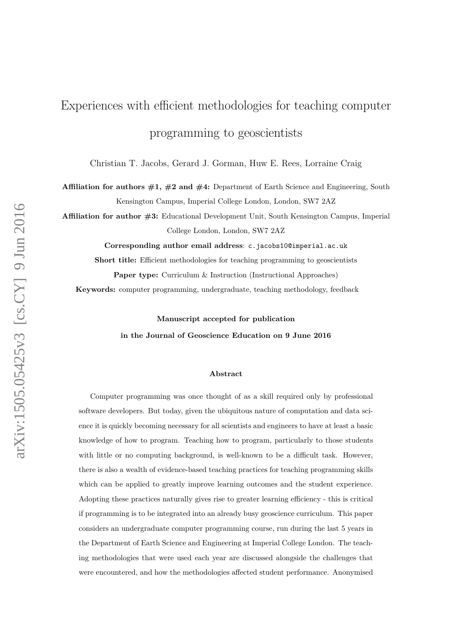# Experiences with efficient methodologies for teaching computer programming to geoscientists

Christian T. Jacobs, Gerard J. Gorman, Huw E. Rees, Lorraine Craig

**Affiliation for authors #1, #2 and #4:** Department of Earth Science and Engineering, South Kensington Campus, Imperial College London, London, SW7 2AZ

**Affiliation for author #3:** Educational Development Unit, South Kensington Campus, Imperial College London, London, SW7 2AZ

**Corresponding author email address**: c.jacobs10@imperial.ac.uk

**Short title:** Efficient methodologies for teaching programming to geoscientists **Paper type:** Curriculum & Instruction (Instructional Approaches)

**Keywords:** computer programming, undergraduate, teaching methodology, feedback

**Manuscript accepted for publication in the Journal of Geoscience Education on 9 June 2016**

#### **Abstract**

Computer programming was once thought of as a skill required only by professional software developers. But today, given the ubiquitous nature of computation and data science it is quickly becoming necessary for all scientists and engineers to have at least a basic knowledge of how to program. Teaching how to program, particularly to those students with little or no computing background, is well-known to be a difficult task. However, there is also a wealth of evidence-based teaching practices for teaching programming skills which can be applied to greatly improve learning outcomes and the student experience. Adopting these practices naturally gives rise to greater learning efficiency - this is critical if programming is to be integrated into an already busy geoscience curriculum. This paper considers an undergraduate computer programming course, run during the last 5 years in the Department of Earth Science and Engineering at Imperial College London. The teaching methodologies that were used each year are discussed alongside the challenges that were encountered, and how the methodologies affected student performance. Anonymised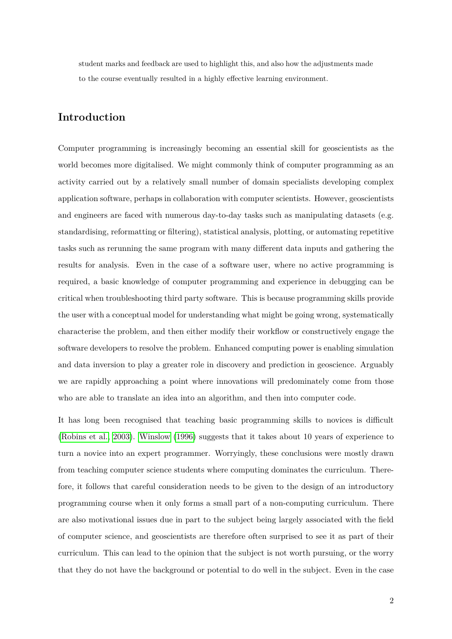student marks and feedback are used to highlight this, and also how the adjustments made to the course eventually resulted in a highly effective learning environment.

# **Introduction**

Computer programming is increasingly becoming an essential skill for geoscientists as the world becomes more digitalised. We might commonly think of computer programming as an activity carried out by a relatively small number of domain specialists developing complex application software, perhaps in collaboration with computer scientists. However, geoscientists and engineers are faced with numerous day-to-day tasks such as manipulating datasets (e.g. standardising, reformatting or filtering), statistical analysis, plotting, or automating repetitive tasks such as rerunning the same program with many different data inputs and gathering the results for analysis. Even in the case of a software user, where no active programming is required, a basic knowledge of computer programming and experience in debugging can be critical when troubleshooting third party software. This is because programming skills provide the user with a conceptual model for understanding what might be going wrong, systematically characterise the problem, and then either modify their workflow or constructively engage the software developers to resolve the problem. Enhanced computing power is enabling simulation and data inversion to play a greater role in discovery and prediction in geoscience. Arguably we are rapidly approaching a point where innovations will predominately come from those who are able to translate an idea into an algorithm, and then into computer code.

It has long been recognised that teaching basic programming skills to novices is difficult [\(Robins et al., 2003\)](#page-28-0). [Winslow](#page-28-1) [\(1996\)](#page-28-1) suggests that it takes about 10 years of experience to turn a novice into an expert programmer. Worryingly, these conclusions were mostly drawn from teaching computer science students where computing dominates the curriculum. Therefore, it follows that careful consideration needs to be given to the design of an introductory programming course when it only forms a small part of a non-computing curriculum. There are also motivational issues due in part to the subject being largely associated with the field of computer science, and geoscientists are therefore often surprised to see it as part of their curriculum. This can lead to the opinion that the subject is not worth pursuing, or the worry that they do not have the background or potential to do well in the subject. Even in the case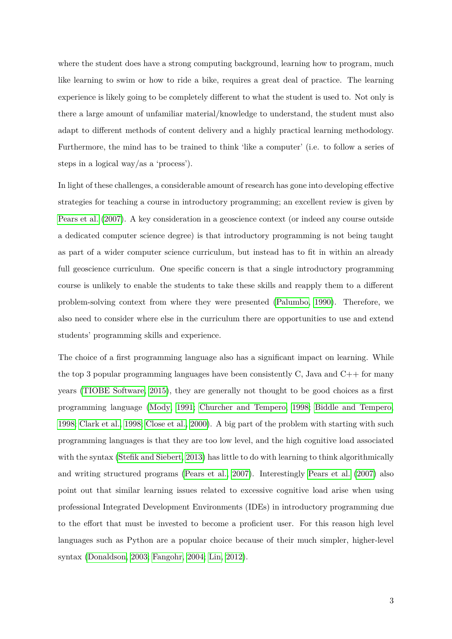where the student does have a strong computing background, learning how to program, much like learning to swim or how to ride a bike, requires a great deal of practice. The learning experience is likely going to be completely different to what the student is used to. Not only is there a large amount of unfamiliar material/knowledge to understand, the student must also adapt to different methods of content delivery and a highly practical learning methodology. Furthermore, the mind has to be trained to think 'like a computer' (i.e. to follow a series of steps in a logical way/as a 'process').

In light of these challenges, a considerable amount of research has gone into developing effective strategies for teaching a course in introductory programming; an excellent review is given by [Pears et al.](#page-27-0) [\(2007\)](#page-27-0). A key consideration in a geoscience context (or indeed any course outside a dedicated computer science degree) is that introductory programming is not being taught as part of a wider computer science curriculum, but instead has to fit in within an already full geoscience curriculum. One specific concern is that a single introductory programming course is unlikely to enable the students to take these skills and reapply them to a different problem-solving context from where they were presented [\(Palumbo, 1990\)](#page-27-1). Therefore, we also need to consider where else in the curriculum there are opportunities to use and extend students' programming skills and experience.

The choice of a first programming language also has a significant impact on learning. While the top 3 popular programming languages have been consistently C, Java and  $C_{++}$  for many years [\(TIOBE Software, 2015\)](#page-28-2), they are generally not thought to be good choices as a first programming language [\(Mody, 1991;](#page-27-2) [Churcher and Tempero, 1998;](#page-25-0) [Biddle and Tempero,](#page-25-1) [1998;](#page-25-1) [Clark et al., 1998;](#page-25-2) [Close et al., 2000\)](#page-25-3). A big part of the problem with starting with such programming languages is that they are too low level, and the high cognitive load associated with the syntax [\(Stefik and Siebert, 2013\)](#page-28-3) has little to do with learning to think algorithmically and writing structured programs [\(Pears et al., 2007\)](#page-27-0). Interestingly [Pears et al.](#page-27-0) [\(2007\)](#page-27-0) also point out that similar learning issues related to excessive cognitive load arise when using professional Integrated Development Environments (IDEs) in introductory programming due to the effort that must be invested to become a proficient user. For this reason high level languages such as Python are a popular choice because of their much simpler, higher-level syntax [\(Donaldson, 2003;](#page-25-4) [Fangohr, 2004;](#page-26-0) [Lin, 2012\)](#page-27-3).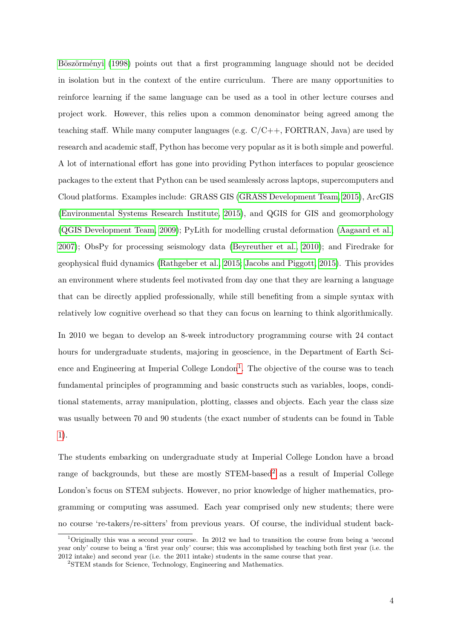[Böszörményi](#page-25-5) [\(1998\)](#page-25-5) points out that a first programming language should not be decided in isolation but in the context of the entire curriculum. There are many opportunities to reinforce learning if the same language can be used as a tool in other lecture courses and project work. However, this relies upon a common denominator being agreed among the teaching staff. While many computer languages (e.g.  $C/C++$ , FORTRAN, Java) are used by research and academic staff, Python has become very popular as it is both simple and powerful. A lot of international effort has gone into providing Python interfaces to popular geoscience packages to the extent that Python can be used seamlessly across laptops, supercomputers and Cloud platforms. Examples include: GRASS GIS [\(GRASS Development Team, 2015\)](#page-26-1), ArcGIS [\(Environmental Systems Research Institute, 2015\)](#page-26-2), and QGIS for GIS and geomorphology [\(QGIS Development Team, 2009\)](#page-28-4); PyLith for modelling crustal deformation [\(Aagaard et al.,](#page-24-0) [2007\)](#page-24-0); ObsPy for processing seismology data [\(Beyreuther et al., 2010\)](#page-24-1); and Firedrake for geophysical fluid dynamics [\(Rathgeber et al., 2015;](#page-28-5) [Jacobs and Piggott, 2015\)](#page-26-3). This provides an environment where students feel motivated from day one that they are learning a language that can be directly applied professionally, while still benefiting from a simple syntax with relatively low cognitive overhead so that they can focus on learning to think algorithmically.

In 2010 we began to develop an 8-week introductory programming course with 24 contact hours for undergraduate students, majoring in geoscience, in the Department of Earth Science and Engineering at Imperial College  $London<sup>1</sup>$  $London<sup>1</sup>$  $London<sup>1</sup>$ . The objective of the course was to teach fundamental principles of programming and basic constructs such as variables, loops, conditional statements, array manipulation, plotting, classes and objects. Each year the class size was usually between 70 and 90 students (the exact number of students can be found in Table [1\)](#page-31-0).

The students embarking on undergraduate study at Imperial College London have a broad range of backgrounds, but these are mostly  $STEM$ -based<sup>[2](#page-3-1)</sup> as a result of Imperial College London's focus on STEM subjects. However, no prior knowledge of higher mathematics, programming or computing was assumed. Each year comprised only new students; there were no course 're-takers/re-sitters' from previous years. Of course, the individual student back-

<span id="page-3-0"></span><sup>&</sup>lt;sup>1</sup>Originally this was a second year course. In 2012 we had to transition the course from being a 'second year only' course to being a 'first year only' course; this was accomplished by teaching both first year (i.e. the 2012 intake) and second year (i.e. the 2011 intake) students in the same course that year.

<span id="page-3-1"></span><sup>2</sup>STEM stands for Science, Technology, Engineering and Mathematics.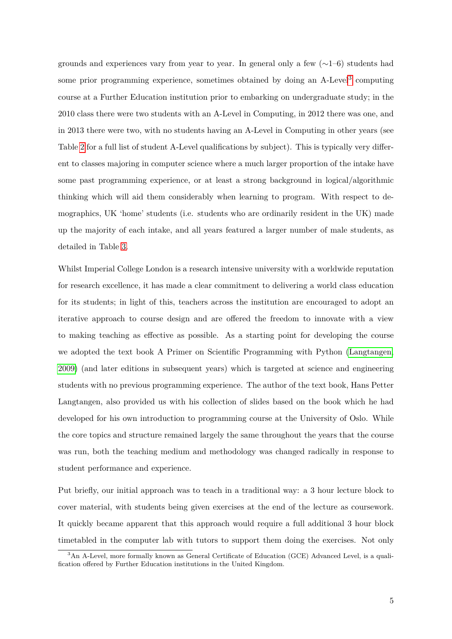grounds and experiences vary from year to year. In general only a few  $(\sim 1-6)$  students had some prior programming experience, sometimes obtained by doing an A-Level<sup>[3](#page-4-0)</sup> computing course at a Further Education institution prior to embarking on undergraduate study; in the 2010 class there were two students with an A-Level in Computing, in 2012 there was one, and in 2013 there were two, with no students having an A-Level in Computing in other years (see Table [2](#page-31-1) for a full list of student A-Level qualifications by subject). This is typically very different to classes majoring in computer science where a much larger proportion of the intake have some past programming experience, or at least a strong background in logical/algorithmic thinking which will aid them considerably when learning to program. With respect to demographics, UK 'home' students (i.e. students who are ordinarily resident in the UK) made up the majority of each intake, and all years featured a larger number of male students, as detailed in Table [3.](#page-32-0)

Whilst Imperial College London is a research intensive university with a worldwide reputation for research excellence, it has made a clear commitment to delivering a world class education for its students; in light of this, teachers across the institution are encouraged to adopt an iterative approach to course design and are offered the freedom to innovate with a view to making teaching as effective as possible. As a starting point for developing the course we adopted the text book A Primer on Scientific Programming with Python [\(Langtangen,](#page-27-4) [2009\)](#page-27-4) (and later editions in subsequent years) which is targeted at science and engineering students with no previous programming experience. The author of the text book, Hans Petter Langtangen, also provided us with his collection of slides based on the book which he had developed for his own introduction to programming course at the University of Oslo. While the core topics and structure remained largely the same throughout the years that the course was run, both the teaching medium and methodology was changed radically in response to student performance and experience.

Put briefly, our initial approach was to teach in a traditional way: a 3 hour lecture block to cover material, with students being given exercises at the end of the lecture as coursework. It quickly became apparent that this approach would require a full additional 3 hour block timetabled in the computer lab with tutors to support them doing the exercises. Not only

<span id="page-4-0"></span><sup>3</sup>An A-Level, more formally known as General Certificate of Education (GCE) Advanced Level, is a qualification offered by Further Education institutions in the United Kingdom.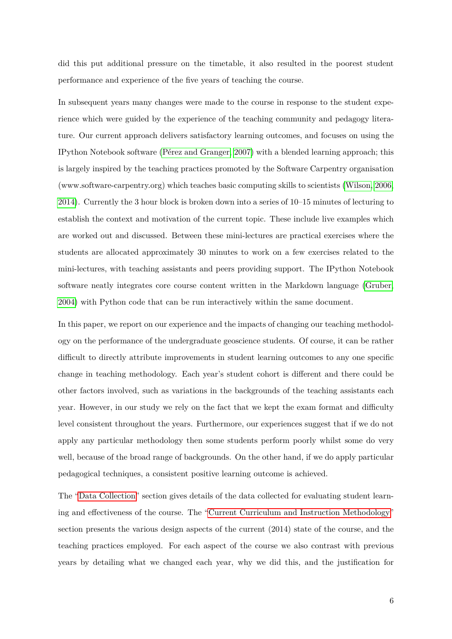did this put additional pressure on the timetable, it also resulted in the poorest student performance and experience of the five years of teaching the course.

In subsequent years many changes were made to the course in response to the student experience which were guided by the experience of the teaching community and pedagogy literature. Our current approach delivers satisfactory learning outcomes, and focuses on using the IPython Notebook software [\(Pérez and Granger, 2007\)](#page-27-5) with a blended learning approach; this is largely inspired by the teaching practices promoted by the Software Carpentry organisation (www.software-carpentry.org) which teaches basic computing skills to scientists [\(Wilson, 2006,](#page-28-6) [2014\)](#page-28-7). Currently the 3 hour block is broken down into a series of 10–15 minutes of lecturing to establish the context and motivation of the current topic. These include live examples which are worked out and discussed. Between these mini-lectures are practical exercises where the students are allocated approximately 30 minutes to work on a few exercises related to the mini-lectures, with teaching assistants and peers providing support. The IPython Notebook software neatly integrates core course content written in the Markdown language [\(Gruber,](#page-26-4) [2004\)](#page-26-4) with Python code that can be run interactively within the same document.

In this paper, we report on our experience and the impacts of changing our teaching methodology on the performance of the undergraduate geoscience students. Of course, it can be rather difficult to directly attribute improvements in student learning outcomes to any one specific change in teaching methodology. Each year's student cohort is different and there could be other factors involved, such as variations in the backgrounds of the teaching assistants each year. However, in our study we rely on the fact that we kept the exam format and difficulty level consistent throughout the years. Furthermore, our experiences suggest that if we do not apply any particular methodology then some students perform poorly whilst some do very well, because of the broad range of backgrounds. On the other hand, if we do apply particular pedagogical techniques, a consistent positive learning outcome is achieved.

The ["Data Collection"](#page-6-0) section gives details of the data collected for evaluating student learning and effectiveness of the course. The ["Current Curriculum and Instruction Methodology"](#page-8-0) section presents the various design aspects of the current (2014) state of the course, and the teaching practices employed. For each aspect of the course we also contrast with previous years by detailing what we changed each year, why we did this, and the justification for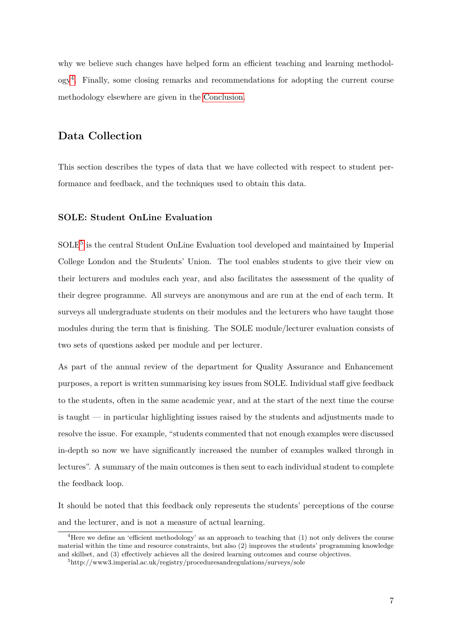why we believe such changes have helped form an efficient teaching and learning methodology[4](#page-6-1) . Finally, some closing remarks and recommendations for adopting the current course methodology elsewhere are given in the [Conclusion.](#page-21-0)

# <span id="page-6-0"></span>**Data Collection**

This section describes the types of data that we have collected with respect to student performance and feedback, and the techniques used to obtain this data.

## **SOLE: Student OnLine Evaluation**

SOLE<sup>[5](#page-6-2)</sup> is the central Student OnLine Evaluation tool developed and maintained by Imperial College London and the Students' Union. The tool enables students to give their view on their lecturers and modules each year, and also facilitates the assessment of the quality of their degree programme. All surveys are anonymous and are run at the end of each term. It surveys all undergraduate students on their modules and the lecturers who have taught those modules during the term that is finishing. The SOLE module/lecturer evaluation consists of two sets of questions asked per module and per lecturer.

As part of the annual review of the department for Quality Assurance and Enhancement purposes, a report is written summarising key issues from SOLE. Individual staff give feedback to the students, often in the same academic year, and at the start of the next time the course is taught — in particular highlighting issues raised by the students and adjustments made to resolve the issue. For example, "students commented that not enough examples were discussed in-depth so now we have significantly increased the number of examples walked through in lectures". A summary of the main outcomes is then sent to each individual student to complete the feedback loop.

It should be noted that this feedback only represents the students' perceptions of the course and the lecturer, and is not a measure of actual learning.

<span id="page-6-1"></span><sup>&</sup>lt;sup>4</sup>Here we define an 'efficient methodology' as an approach to teaching that  $(1)$  not only delivers the course material within the time and resource constraints, but also (2) improves the students' programming knowledge and skillset, and (3) effectively achieves all the desired learning outcomes and course objectives.

<span id="page-6-2"></span><sup>5</sup>http://www3.imperial.ac.uk/registry/proceduresandregulations/surveys/sole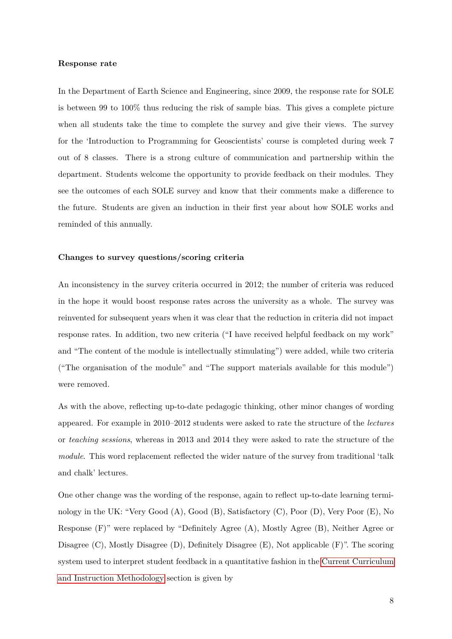#### **Response rate**

In the Department of Earth Science and Engineering, since 2009, the response rate for SOLE is between 99 to 100% thus reducing the risk of sample bias. This gives a complete picture when all students take the time to complete the survey and give their views. The survey for the 'Introduction to Programming for Geoscientists' course is completed during week 7 out of 8 classes. There is a strong culture of communication and partnership within the department. Students welcome the opportunity to provide feedback on their modules. They see the outcomes of each SOLE survey and know that their comments make a difference to the future. Students are given an induction in their first year about how SOLE works and reminded of this annually.

#### **Changes to survey questions/scoring criteria**

An inconsistency in the survey criteria occurred in 2012; the number of criteria was reduced in the hope it would boost response rates across the university as a whole. The survey was reinvented for subsequent years when it was clear that the reduction in criteria did not impact response rates. In addition, two new criteria ("I have received helpful feedback on my work" and "The content of the module is intellectually stimulating") were added, while two criteria ("The organisation of the module" and "The support materials available for this module") were removed.

As with the above, reflecting up-to-date pedagogic thinking, other minor changes of wording appeared. For example in 2010–2012 students were asked to rate the structure of the *lectures* or *teaching sessions*, whereas in 2013 and 2014 they were asked to rate the structure of the *module*. This word replacement reflected the wider nature of the survey from traditional 'talk and chalk' lectures.

One other change was the wording of the response, again to reflect up-to-date learning terminology in the UK: "Very Good (A), Good (B), Satisfactory (C), Poor (D), Very Poor (E), No Response (F)" were replaced by "Definitely Agree (A), Mostly Agree (B), Neither Agree or Disagree (C), Mostly Disagree (D), Definitely Disagree (E), Not applicable (F)". The scoring system used to interpret student feedback in a quantitative fashion in the [Current Curriculum](#page-8-0) [and Instruction Methodology](#page-8-0) section is given by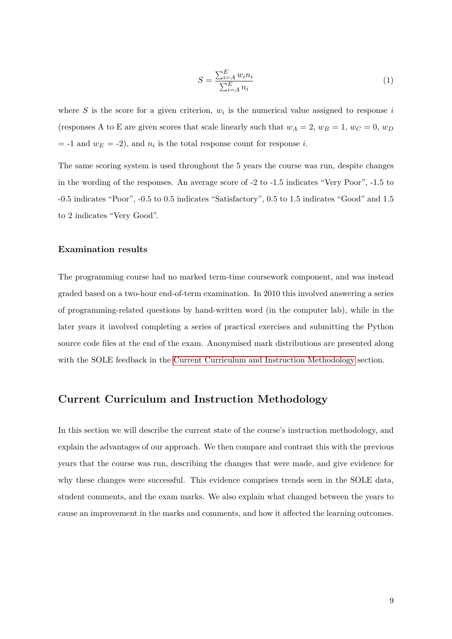$$
S = \frac{\sum_{i=A}^{E} w_i n_i}{\sum_{i=A}^{E} n_i} \tag{1}
$$

where  $S$  is the score for a given criterion,  $w_i$  is the numerical value assigned to response  $i$ (responses A to E are given scores that scale linearly such that  $w_A = 2$ ,  $w_B = 1$ ,  $w_C = 0$ ,  $w_D$  $=$  -1 and  $w_E = -2$ ), and  $n_i$  is the total response count for response *i*.

The same scoring system is used throughout the 5 years the course was run, despite changes in the wording of the responses. An average score of -2 to -1.5 indicates "Very Poor", -1.5 to -0.5 indicates "Poor", -0.5 to 0.5 indicates "Satisfactory", 0.5 to 1.5 indicates "Good" and 1.5 to 2 indicates "Very Good".

#### **Examination results**

The programming course had no marked term-time coursework component, and was instead graded based on a two-hour end-of-term examination. In 2010 this involved answering a series of programming-related questions by hand-written word (in the computer lab), while in the later years it involved completing a series of practical exercises and submitting the Python source code files at the end of the exam. Anonymised mark distributions are presented along with the SOLE feedback in the [Current Curriculum and Instruction Methodology](#page-8-0) section.

## <span id="page-8-0"></span>**Current Curriculum and Instruction Methodology**

In this section we will describe the current state of the course's instruction methodology, and explain the advantages of our approach. We then compare and contrast this with the previous years that the course was run, describing the changes that were made, and give evidence for why these changes were successful. This evidence comprises trends seen in the SOLE data, student comments, and the exam marks. We also explain what changed between the years to cause an improvement in the marks and comments, and how it affected the learning outcomes.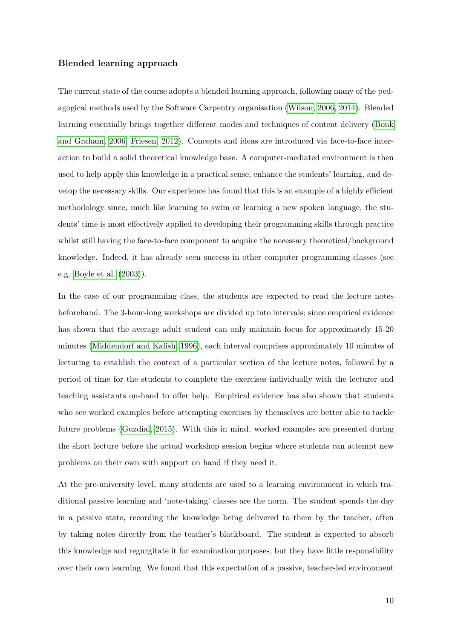#### **Blended learning approach**

The current state of the course adopts a blended learning approach, following many of the pedagogical methods used by the Software Carpentry organisation [\(Wilson, 2006,](#page-28-6) [2014\)](#page-28-7). Blended learning essentially brings together different modes and techniques of content delivery [\(Bonk](#page-25-6) [and Graham, 2006;](#page-25-6) [Friesen, 2012\)](#page-26-5). Concepts and ideas are introduced via face-to-face interaction to build a solid theoretical knowledge base. A computer-mediated environment is then used to help apply this knowledge in a practical sense, enhance the students' learning, and develop the necessary skills. Our experience has found that this is an example of a highly efficient methodology since, much like learning to swim or learning a new spoken language, the students' time is most effectively applied to developing their programming skills through practice whilst still having the face-to-face component to acquire the necessary theoretical/background knowledge. Indeed, it has already seen success in other computer programming classes (see e.g. [Boyle et al.](#page-25-7) [\(2003\)](#page-25-7)).

In the case of our programming class, the students are expected to read the lecture notes beforehand. The 3-hour-long workshops are divided up into intervals; since empirical evidence has shown that the average adult student can only maintain focus for approximately 15-20 minutes [\(Middendorf and Kalish, 1996\)](#page-27-6), each interval comprises approximately 10 minutes of lecturing to establish the context of a particular section of the lecture notes, followed by a period of time for the students to complete the exercises individually with the lecturer and teaching assistants on-hand to offer help. Empirical evidence has also shown that students who see worked examples before attempting exercises by themselves are better able to tackle future problems [\(Guzdial, 2015\)](#page-26-6). With this in mind, worked examples are presented during the short lecture before the actual workshop session begins where students can attempt new problems on their own with support on hand if they need it.

At the pre-university level, many students are used to a learning environment in which traditional passive learning and 'note-taking' classes are the norm. The student spends the day in a passive state, recording the knowledge being delivered to them by the teacher, often by taking notes directly from the teacher's blackboard. The student is expected to absorb this knowledge and regurgitate it for examination purposes, but they have little responsibility over their own learning. We found that this expectation of a passive, teacher-led environment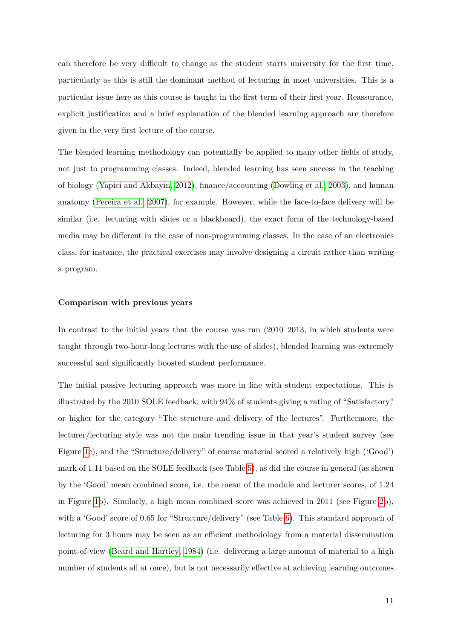can therefore be very difficult to change as the student starts university for the first time, particularly as this is still the dominant method of lecturing in most universities. This is a particular issue here as this course is taught in the first term of their first year. Reassurance, explicit justification and a brief explanation of the blended learning approach are therefore given in the very first lecture of the course.

The blended learning methodology can potentially be applied to many other fields of study, not just to programming classes. Indeed, blended learning has seen success in the teaching of biology [\(Yapici and Akbayin, 2012\)](#page-28-8), finance/accounting [\(Dowling et al., 2003\)](#page-25-8), and human anatomy [\(Pereira et al., 2007\)](#page-27-7), for example. However, while the face-to-face delivery will be similar (i.e. lecturing with slides or a blackboard), the exact form of the technology-based media may be different in the case of non-programming classes. In the case of an electronics class, for instance, the practical exercises may involve designing a circuit rather than writing a program.

#### **Comparison with previous years**

In contrast to the initial years that the course was run (2010–2013, in which students were taught through two-hour-long lectures with the use of slides), blended learning was extremely successful and significantly boosted student performance.

The initial passive lecturing approach was more in line with student expectations. This is illustrated by the 2010 SOLE feedback, with 94% of students giving a rating of "Satisfactory" or higher for the category "The structure and delivery of the lectures". Furthermore, the lecturer/lecturing style was not the main trending issue in that year's student survey (see Figure [1c](#page-35-0)), and the "Structure/delivery" of course material scored a relatively high ('Good') mark of 1.11 based on the SOLE feedback (see Table [5\)](#page-32-1), as did the course in general (as shown by the 'Good' mean combined score, i.e. the mean of the module and lecturer scores, of 1.24 in Figure [1b](#page-35-0)). Similarly, a high mean combined score was achieved in 2011 (see Figure [2b](#page-35-1)), with a 'Good' score of 0.65 for "Structure/delivery" (see Table [6\)](#page-33-0). This standard approach of lecturing for 3 hours may be seen as an efficient methodology from a material dissemination point-of-view [\(Beard and Hartley, 1984\)](#page-24-2) (i.e. delivering a large amount of material to a high number of students all at once), but is not necessarily effective at achieving learning outcomes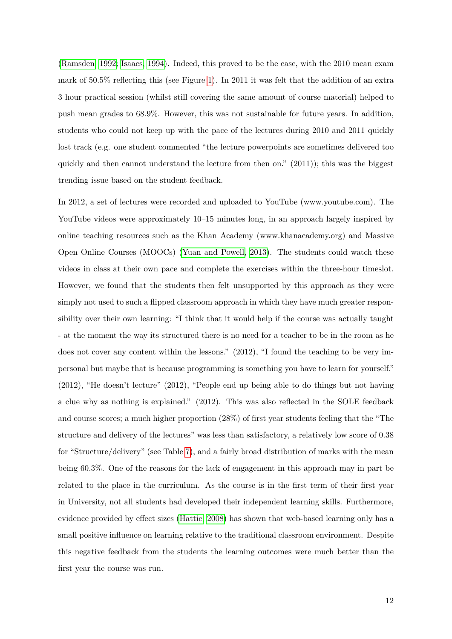[\(Ramsden, 1992;](#page-28-9) [Isaacs, 1994\)](#page-26-7). Indeed, this proved to be the case, with the 2010 mean exam mark of 50.5% reflecting this (see Figure [1\)](#page-35-0). In 2011 it was felt that the addition of an extra 3 hour practical session (whilst still covering the same amount of course material) helped to push mean grades to 68.9%. However, this was not sustainable for future years. In addition, students who could not keep up with the pace of the lectures during 2010 and 2011 quickly lost track (e.g. one student commented "the lecture powerpoints are sometimes delivered too quickly and then cannot understand the lecture from then on."  $(2011)$ ; this was the biggest trending issue based on the student feedback.

In 2012, a set of lectures were recorded and uploaded to YouTube (www.youtube.com). The YouTube videos were approximately 10–15 minutes long, in an approach largely inspired by online teaching resources such as the Khan Academy (www.khanacademy.org) and Massive Open Online Courses (MOOCs) [\(Yuan and Powell, 2013\)](#page-28-10). The students could watch these videos in class at their own pace and complete the exercises within the three-hour timeslot. However, we found that the students then felt unsupported by this approach as they were simply not used to such a flipped classroom approach in which they have much greater responsibility over their own learning: "I think that it would help if the course was actually taught - at the moment the way its structured there is no need for a teacher to be in the room as he does not cover any content within the lessons." (2012), "I found the teaching to be very impersonal but maybe that is because programming is something you have to learn for yourself." (2012), "He doesn't lecture" (2012), "People end up being able to do things but not having a clue why as nothing is explained." (2012). This was also reflected in the SOLE feedback and course scores; a much higher proportion (28%) of first year students feeling that the "The structure and delivery of the lectures" was less than satisfactory, a relatively low score of 0.38 for "Structure/delivery" (see Table [7\)](#page-33-1), and a fairly broad distribution of marks with the mean being 60.3%. One of the reasons for the lack of engagement in this approach may in part be related to the place in the curriculum. As the course is in the first term of their first year in University, not all students had developed their independent learning skills. Furthermore, evidence provided by effect sizes [\(Hattie, 2008\)](#page-26-8) has shown that web-based learning only has a small positive influence on learning relative to the traditional classroom environment. Despite this negative feedback from the students the learning outcomes were much better than the first year the course was run.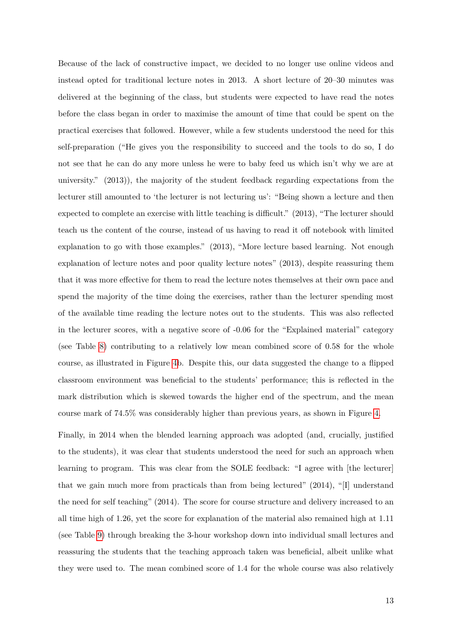Because of the lack of constructive impact, we decided to no longer use online videos and instead opted for traditional lecture notes in 2013. A short lecture of 20–30 minutes was delivered at the beginning of the class, but students were expected to have read the notes before the class began in order to maximise the amount of time that could be spent on the practical exercises that followed. However, while a few students understood the need for this self-preparation ("He gives you the responsibility to succeed and the tools to do so, I do not see that he can do any more unless he were to baby feed us which isn't why we are at university." (2013)), the majority of the student feedback regarding expectations from the lecturer still amounted to 'the lecturer is not lecturing us': "Being shown a lecture and then expected to complete an exercise with little teaching is difficult." (2013), "The lecturer should teach us the content of the course, instead of us having to read it off notebook with limited explanation to go with those examples." (2013), "More lecture based learning. Not enough explanation of lecture notes and poor quality lecture notes" (2013), despite reassuring them that it was more effective for them to read the lecture notes themselves at their own pace and spend the majority of the time doing the exercises, rather than the lecturer spending most of the available time reading the lecture notes out to the students. This was also reflected in the lecturer scores, with a negative score of -0.06 for the "Explained material" category (see Table [8\)](#page-33-2) contributing to a relatively low mean combined score of 0.58 for the whole course, as illustrated in Figure [4b](#page-36-0). Despite this, our data suggested the change to a flipped classroom environment was beneficial to the students' performance; this is reflected in the mark distribution which is skewed towards the higher end of the spectrum, and the mean course mark of 74.5% was considerably higher than previous years, as shown in Figure [4.](#page-36-0)

Finally, in 2014 when the blended learning approach was adopted (and, crucially, justified to the students), it was clear that students understood the need for such an approach when learning to program. This was clear from the SOLE feedback: "I agree with [the lecturer] that we gain much more from practicals than from being lectured" (2014), "[I] understand the need for self teaching" (2014). The score for course structure and delivery increased to an all time high of 1.26, yet the score for explanation of the material also remained high at 1.11 (see Table [9\)](#page-34-0) through breaking the 3-hour workshop down into individual small lectures and reassuring the students that the teaching approach taken was beneficial, albeit unlike what they were used to. The mean combined score of 1.4 for the whole course was also relatively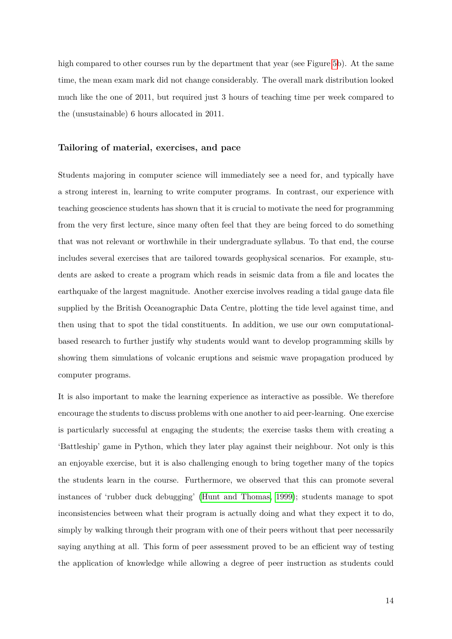high compared to other courses run by the department that year (see Figure [5b](#page-37-0)). At the same time, the mean exam mark did not change considerably. The overall mark distribution looked much like the one of 2011, but required just 3 hours of teaching time per week compared to the (unsustainable) 6 hours allocated in 2011.

#### **Tailoring of material, exercises, and pace**

Students majoring in computer science will immediately see a need for, and typically have a strong interest in, learning to write computer programs. In contrast, our experience with teaching geoscience students has shown that it is crucial to motivate the need for programming from the very first lecture, since many often feel that they are being forced to do something that was not relevant or worthwhile in their undergraduate syllabus. To that end, the course includes several exercises that are tailored towards geophysical scenarios. For example, students are asked to create a program which reads in seismic data from a file and locates the earthquake of the largest magnitude. Another exercise involves reading a tidal gauge data file supplied by the British Oceanographic Data Centre, plotting the tide level against time, and then using that to spot the tidal constituents. In addition, we use our own computationalbased research to further justify why students would want to develop programming skills by showing them simulations of volcanic eruptions and seismic wave propagation produced by computer programs.

It is also important to make the learning experience as interactive as possible. We therefore encourage the students to discuss problems with one another to aid peer-learning. One exercise is particularly successful at engaging the students; the exercise tasks them with creating a 'Battleship' game in Python, which they later play against their neighbour. Not only is this an enjoyable exercise, but it is also challenging enough to bring together many of the topics the students learn in the course. Furthermore, we observed that this can promote several instances of 'rubber duck debugging' [\(Hunt and Thomas, 1999\)](#page-26-9); students manage to spot inconsistencies between what their program is actually doing and what they expect it to do, simply by walking through their program with one of their peers without that peer necessarily saying anything at all. This form of peer assessment proved to be an efficient way of testing the application of knowledge while allowing a degree of peer instruction as students could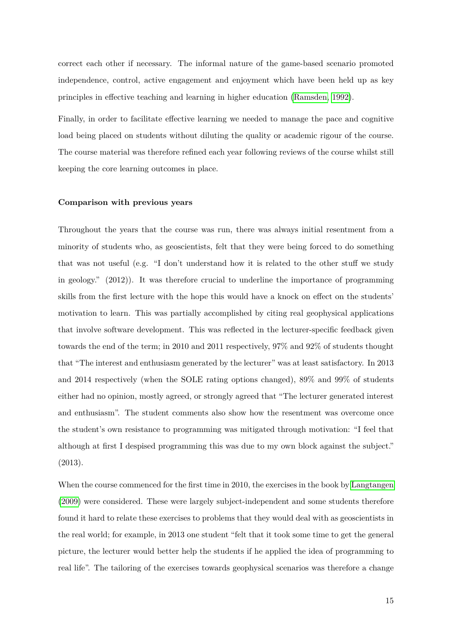correct each other if necessary. The informal nature of the game-based scenario promoted independence, control, active engagement and enjoyment which have been held up as key principles in effective teaching and learning in higher education [\(Ramsden, 1992\)](#page-28-9).

Finally, in order to facilitate effective learning we needed to manage the pace and cognitive load being placed on students without diluting the quality or academic rigour of the course. The course material was therefore refined each year following reviews of the course whilst still keeping the core learning outcomes in place.

#### **Comparison with previous years**

Throughout the years that the course was run, there was always initial resentment from a minority of students who, as geoscientists, felt that they were being forced to do something that was not useful (e.g. "I don't understand how it is related to the other stuff we study in geology." (2012)). It was therefore crucial to underline the importance of programming skills from the first lecture with the hope this would have a knock on effect on the students' motivation to learn. This was partially accomplished by citing real geophysical applications that involve software development. This was reflected in the lecturer-specific feedback given towards the end of the term; in 2010 and 2011 respectively, 97% and 92% of students thought that "The interest and enthusiasm generated by the lecturer" was at least satisfactory. In 2013 and 2014 respectively (when the SOLE rating options changed), 89% and 99% of students either had no opinion, mostly agreed, or strongly agreed that "The lecturer generated interest and enthusiasm". The student comments also show how the resentment was overcome once the student's own resistance to programming was mitigated through motivation: "I feel that although at first I despised programming this was due to my own block against the subject." (2013).

When the course commenced for the first time in 2010, the exercises in the book by [Langtangen](#page-27-4) [\(2009\)](#page-27-4) were considered. These were largely subject-independent and some students therefore found it hard to relate these exercises to problems that they would deal with as geoscientists in the real world; for example, in 2013 one student "felt that it took some time to get the general picture, the lecturer would better help the students if he applied the idea of programming to real life". The tailoring of the exercises towards geophysical scenarios was therefore a change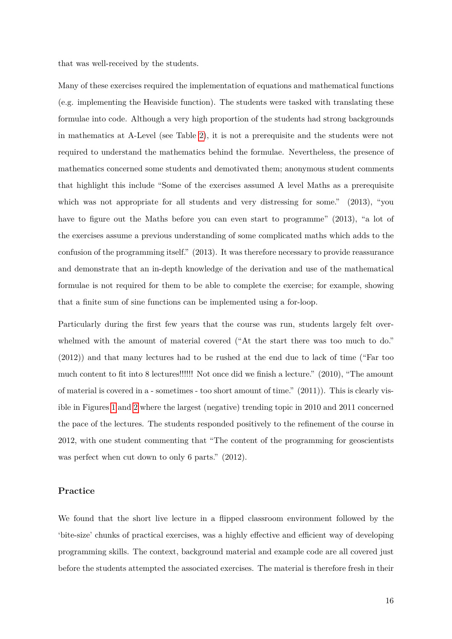that was well-received by the students.

Many of these exercises required the implementation of equations and mathematical functions (e.g. implementing the Heaviside function). The students were tasked with translating these formulae into code. Although a very high proportion of the students had strong backgrounds in mathematics at A-Level (see Table [2\)](#page-31-1), it is not a prerequisite and the students were not required to understand the mathematics behind the formulae. Nevertheless, the presence of mathematics concerned some students and demotivated them; anonymous student comments that highlight this include "Some of the exercises assumed A level Maths as a prerequisite which was not appropriate for all students and very distressing for some." (2013), "you have to figure out the Maths before you can even start to programme" (2013), "a lot of the exercises assume a previous understanding of some complicated maths which adds to the confusion of the programming itself." (2013). It was therefore necessary to provide reassurance and demonstrate that an in-depth knowledge of the derivation and use of the mathematical formulae is not required for them to be able to complete the exercise; for example, showing that a finite sum of sine functions can be implemented using a for-loop.

Particularly during the first few years that the course was run, students largely felt overwhelmed with the amount of material covered ("At the start there was too much to do." (2012)) and that many lectures had to be rushed at the end due to lack of time ("Far too much content to fit into 8 lectures!!!!!! Not once did we finish a lecture." (2010), "The amount of material is covered in a - sometimes - too short amount of time." (2011)). This is clearly visible in Figures [1](#page-35-0) and [2](#page-35-1) where the largest (negative) trending topic in 2010 and 2011 concerned the pace of the lectures. The students responded positively to the refinement of the course in 2012, with one student commenting that "The content of the programming for geoscientists was perfect when cut down to only 6 parts." (2012).

#### **Practice**

We found that the short live lecture in a flipped classroom environment followed by the 'bite-size' chunks of practical exercises, was a highly effective and efficient way of developing programming skills. The context, background material and example code are all covered just before the students attempted the associated exercises. The material is therefore fresh in their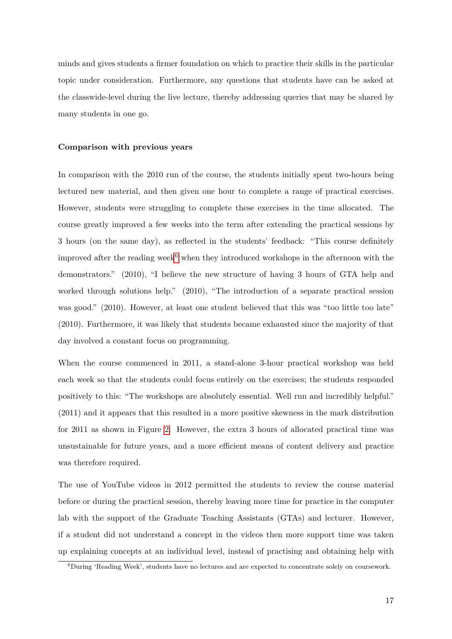minds and gives students a firmer foundation on which to practice their skills in the particular topic under consideration. Furthermore, any questions that students have can be asked at the classwide-level during the live lecture, thereby addressing queries that may be shared by many students in one go.

#### **Comparison with previous years**

In comparison with the 2010 run of the course, the students initially spent two-hours being lectured new material, and then given one hour to complete a range of practical exercises. However, students were struggling to complete these exercises in the time allocated. The course greatly improved a few weeks into the term after extending the practical sessions by 3 hours (on the same day), as reflected in the students' feedback: "This course definitely improved after the reading week<sup>[6](#page-16-0)</sup> when they introduced workshops in the afternoon with the demonstrators." (2010), "I believe the new structure of having 3 hours of GTA help and worked through solutions help." (2010), "The introduction of a separate practical session was good." (2010). However, at least one student believed that this was "too little too late" (2010). Furthermore, it was likely that students became exhausted since the majority of that day involved a constant focus on programming.

When the course commenced in 2011, a stand-alone 3-hour practical workshop was held each week so that the students could focus entirely on the exercises; the students responded positively to this: "The workshops are absolutely essential. Well run and incredibly helpful." (2011) and it appears that this resulted in a more positive skewness in the mark distribution for 2011 as shown in Figure [2.](#page-35-1) However, the extra 3 hours of allocated practical time was unsustainable for future years, and a more efficient means of content delivery and practice was therefore required.

The use of YouTube videos in 2012 permitted the students to review the course material before or during the practical session, thereby leaving more time for practice in the computer lab with the support of the Graduate Teaching Assistants (GTAs) and lecturer. However, if a student did not understand a concept in the videos then more support time was taken up explaining concepts at an individual level, instead of practising and obtaining help with

<span id="page-16-0"></span><sup>6</sup>During 'Reading Week', students have no lectures and are expected to concentrate solely on coursework.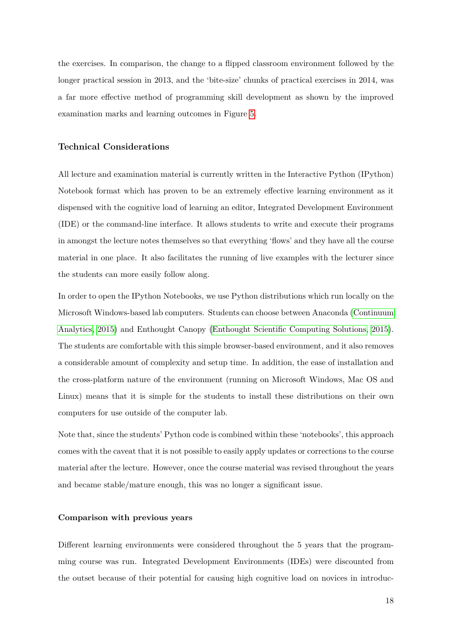the exercises. In comparison, the change to a flipped classroom environment followed by the longer practical session in 2013, and the 'bite-size' chunks of practical exercises in 2014, was a far more effective method of programming skill development as shown by the improved examination marks and learning outcomes in Figure [5.](#page-37-0)

## **Technical Considerations**

All lecture and examination material is currently written in the Interactive Python (IPython) Notebook format which has proven to be an extremely effective learning environment as it dispensed with the cognitive load of learning an editor, Integrated Development Environment (IDE) or the command-line interface. It allows students to write and execute their programs in amongst the lecture notes themselves so that everything 'flows' and they have all the course material in one place. It also facilitates the running of live examples with the lecturer since the students can more easily follow along.

In order to open the IPython Notebooks, we use Python distributions which run locally on the Microsoft Windows-based lab computers. Students can choose between Anaconda [\(Continuum](#page-25-9) [Analytics, 2015\)](#page-25-9) and Enthought Canopy [\(Enthought Scientific Computing Solutions, 2015\)](#page-25-10). The students are comfortable with this simple browser-based environment, and it also removes a considerable amount of complexity and setup time. In addition, the ease of installation and the cross-platform nature of the environment (running on Microsoft Windows, Mac OS and Linux) means that it is simple for the students to install these distributions on their own computers for use outside of the computer lab.

Note that, since the students' Python code is combined within these 'notebooks', this approach comes with the caveat that it is not possible to easily apply updates or corrections to the course material after the lecture. However, once the course material was revised throughout the years and became stable/mature enough, this was no longer a significant issue.

#### **Comparison with previous years**

Different learning environments were considered throughout the 5 years that the programming course was run. Integrated Development Environments (IDEs) were discounted from the outset because of their potential for causing high cognitive load on novices in introduc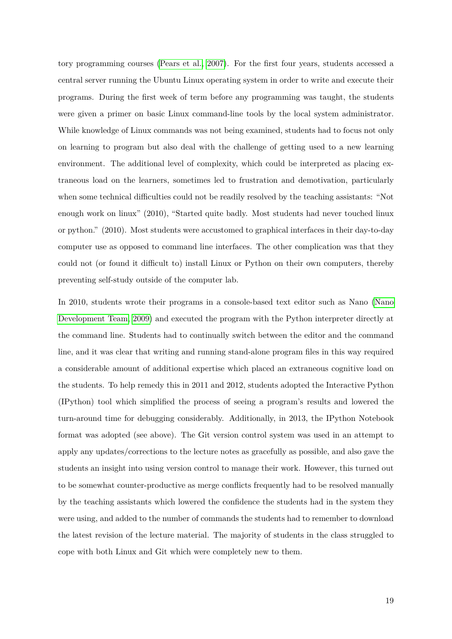tory programming courses [\(Pears et al., 2007\)](#page-27-0). For the first four years, students accessed a central server running the Ubuntu Linux operating system in order to write and execute their programs. During the first week of term before any programming was taught, the students were given a primer on basic Linux command-line tools by the local system administrator. While knowledge of Linux commands was not being examined, students had to focus not only on learning to program but also deal with the challenge of getting used to a new learning environment. The additional level of complexity, which could be interpreted as placing extraneous load on the learners, sometimes led to frustration and demotivation, particularly when some technical difficulties could not be readily resolved by the teaching assistants: "Not enough work on linux" (2010), "Started quite badly. Most students had never touched linux or python." (2010). Most students were accustomed to graphical interfaces in their day-to-day computer use as opposed to command line interfaces. The other complication was that they could not (or found it difficult to) install Linux or Python on their own computers, thereby preventing self-study outside of the computer lab.

In 2010, students wrote their programs in a console-based text editor such as Nano [\(Nano](#page-27-8) [Development Team, 2009\)](#page-27-8) and executed the program with the Python interpreter directly at the command line. Students had to continually switch between the editor and the command line, and it was clear that writing and running stand-alone program files in this way required a considerable amount of additional expertise which placed an extraneous cognitive load on the students. To help remedy this in 2011 and 2012, students adopted the Interactive Python (IPython) tool which simplified the process of seeing a program's results and lowered the turn-around time for debugging considerably. Additionally, in 2013, the IPython Notebook format was adopted (see above). The Git version control system was used in an attempt to apply any updates/corrections to the lecture notes as gracefully as possible, and also gave the students an insight into using version control to manage their work. However, this turned out to be somewhat counter-productive as merge conflicts frequently had to be resolved manually by the teaching assistants which lowered the confidence the students had in the system they were using, and added to the number of commands the students had to remember to download the latest revision of the lecture material. The majority of students in the class struggled to cope with both Linux and Git which were completely new to them.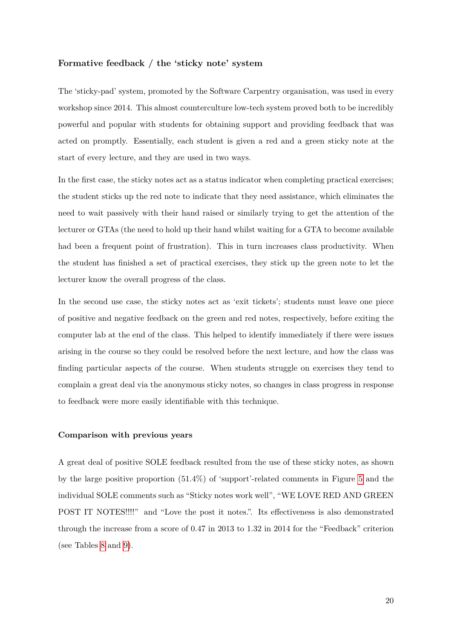#### **Formative feedback / the 'sticky note' system**

The 'sticky-pad' system, promoted by the Software Carpentry organisation, was used in every workshop since 2014. This almost counterculture low-tech system proved both to be incredibly powerful and popular with students for obtaining support and providing feedback that was acted on promptly. Essentially, each student is given a red and a green sticky note at the start of every lecture, and they are used in two ways.

In the first case, the sticky notes act as a status indicator when completing practical exercises; the student sticks up the red note to indicate that they need assistance, which eliminates the need to wait passively with their hand raised or similarly trying to get the attention of the lecturer or GTAs (the need to hold up their hand whilst waiting for a GTA to become available had been a frequent point of frustration). This in turn increases class productivity. When the student has finished a set of practical exercises, they stick up the green note to let the lecturer know the overall progress of the class.

In the second use case, the sticky notes act as 'exit tickets'; students must leave one piece of positive and negative feedback on the green and red notes, respectively, before exiting the computer lab at the end of the class. This helped to identify immediately if there were issues arising in the course so they could be resolved before the next lecture, and how the class was finding particular aspects of the course. When students struggle on exercises they tend to complain a great deal via the anonymous sticky notes, so changes in class progress in response to feedback were more easily identifiable with this technique.

#### **Comparison with previous years**

A great deal of positive SOLE feedback resulted from the use of these sticky notes, as shown by the large positive proportion (51.4%) of 'support'-related comments in Figure [5](#page-37-0) and the individual SOLE comments such as "Sticky notes work well", "WE LOVE RED AND GREEN POST IT NOTES!!!!" and "Love the post it notes.". Its effectiveness is also demonstrated through the increase from a score of 0.47 in 2013 to 1.32 in 2014 for the "Feedback" criterion (see Tables [8](#page-33-2) and [9\)](#page-34-0).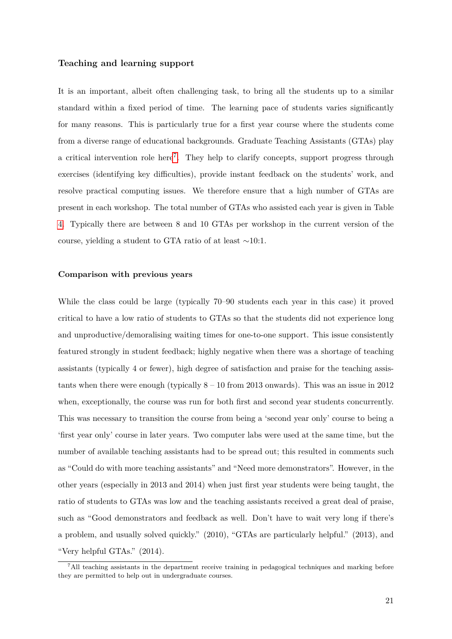#### **Teaching and learning support**

It is an important, albeit often challenging task, to bring all the students up to a similar standard within a fixed period of time. The learning pace of students varies significantly for many reasons. This is particularly true for a first year course where the students come from a diverse range of educational backgrounds. Graduate Teaching Assistants (GTAs) play a critical intervention role here<sup>[7](#page-20-0)</sup>. They help to clarify concepts, support progress through exercises (identifying key difficulties), provide instant feedback on the students' work, and resolve practical computing issues. We therefore ensure that a high number of GTAs are present in each workshop. The total number of GTAs who assisted each year is given in Table [4.](#page-32-2) Typically there are between 8 and 10 GTAs per workshop in the current version of the course, yielding a student to GTA ratio of at least ∼10:1.

#### **Comparison with previous years**

While the class could be large (typically 70–90 students each year in this case) it proved critical to have a low ratio of students to GTAs so that the students did not experience long and unproductive/demoralising waiting times for one-to-one support. This issue consistently featured strongly in student feedback; highly negative when there was a shortage of teaching assistants (typically 4 or fewer), high degree of satisfaction and praise for the teaching assistants when there were enough (typically  $8 - 10$  from 2013 onwards). This was an issue in 2012 when, exceptionally, the course was run for both first and second year students concurrently. This was necessary to transition the course from being a 'second year only' course to being a 'first year only' course in later years. Two computer labs were used at the same time, but the number of available teaching assistants had to be spread out; this resulted in comments such as "Could do with more teaching assistants" and "Need more demonstrators". However, in the other years (especially in 2013 and 2014) when just first year students were being taught, the ratio of students to GTAs was low and the teaching assistants received a great deal of praise, such as "Good demonstrators and feedback as well. Don't have to wait very long if there's a problem, and usually solved quickly." (2010), "GTAs are particularly helpful." (2013), and "Very helpful GTAs." (2014).

<span id="page-20-0"></span><sup>7</sup>All teaching assistants in the department receive training in pedagogical techniques and marking before they are permitted to help out in undergraduate courses.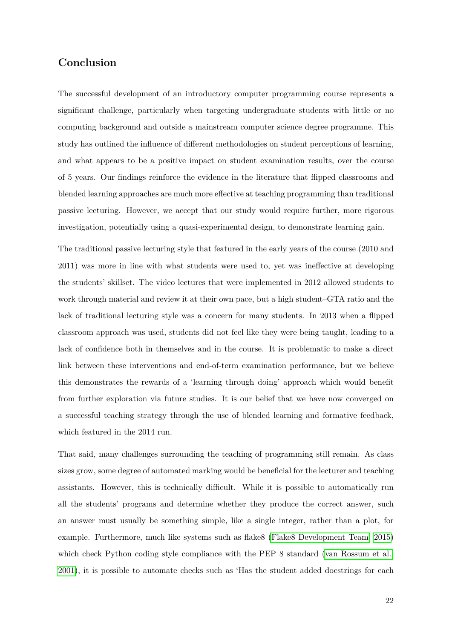# <span id="page-21-0"></span>**Conclusion**

The successful development of an introductory computer programming course represents a significant challenge, particularly when targeting undergraduate students with little or no computing background and outside a mainstream computer science degree programme. This study has outlined the influence of different methodologies on student perceptions of learning, and what appears to be a positive impact on student examination results, over the course of 5 years. Our findings reinforce the evidence in the literature that flipped classrooms and blended learning approaches are much more effective at teaching programming than traditional passive lecturing. However, we accept that our study would require further, more rigorous investigation, potentially using a quasi-experimental design, to demonstrate learning gain.

The traditional passive lecturing style that featured in the early years of the course (2010 and 2011) was more in line with what students were used to, yet was ineffective at developing the students' skillset. The video lectures that were implemented in 2012 allowed students to work through material and review it at their own pace, but a high student–GTA ratio and the lack of traditional lecturing style was a concern for many students. In 2013 when a flipped classroom approach was used, students did not feel like they were being taught, leading to a lack of confidence both in themselves and in the course. It is problematic to make a direct link between these interventions and end-of-term examination performance, but we believe this demonstrates the rewards of a 'learning through doing' approach which would benefit from further exploration via future studies. It is our belief that we have now converged on a successful teaching strategy through the use of blended learning and formative feedback, which featured in the 2014 run.

That said, many challenges surrounding the teaching of programming still remain. As class sizes grow, some degree of automated marking would be beneficial for the lecturer and teaching assistants. However, this is technically difficult. While it is possible to automatically run all the students' programs and determine whether they produce the correct answer, such an answer must usually be something simple, like a single integer, rather than a plot, for example. Furthermore, much like systems such as flake8 [\(Flake8 Development Team, 2015\)](#page-26-10) which check Python coding style compliance with the PEP 8 standard [\(van Rossum et al.,](#page-28-11) [2001\)](#page-28-11), it is possible to automate checks such as 'Has the student added docstrings for each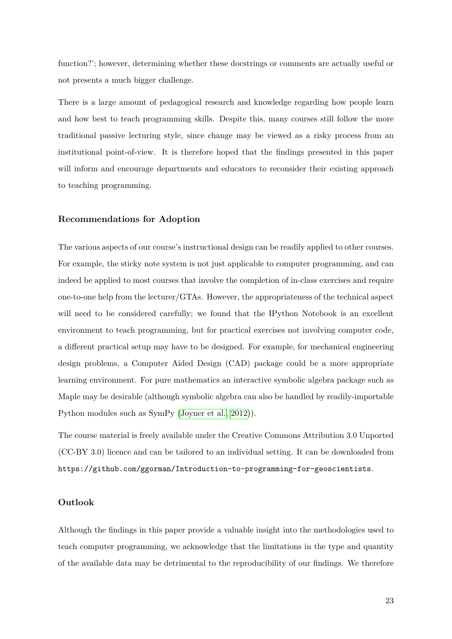function?'; however, determining whether these docstrings or comments are actually useful or not presents a much bigger challenge.

There is a large amount of pedagogical research and knowledge regarding how people learn and how best to teach programming skills. Despite this, many courses still follow the more traditional passive lecturing style, since change may be viewed as a risky process from an institutional point-of-view. It is therefore hoped that the findings presented in this paper will inform and encourage departments and educators to reconsider their existing approach to teaching programming.

#### **Recommendations for Adoption**

The various aspects of our course's instructional design can be readily applied to other courses. For example, the sticky note system is not just applicable to computer programming, and can indeed be applied to most courses that involve the completion of in-class exercises and require one-to-one help from the lecturer/GTAs. However, the appropriateness of the technical aspect will need to be considered carefully; we found that the IPython Notebook is an excellent environment to teach programming, but for practical exercises not involving computer code, a different practical setup may have to be designed. For example, for mechanical engineering design problems, a Computer Aided Design (CAD) package could be a more appropriate learning environment. For pure mathematics an interactive symbolic algebra package such as Maple may be desirable (although symbolic algebra can also be handled by readily-importable Python modules such as SymPy [\(Joyner et al., 2012\)](#page-27-9)).

The course material is freely available under the Creative Commons Attribution 3.0 Unported (CC-BY 3.0) licence and can be tailored to an individual setting. It can be downloaded from https://github.com/ggorman/Introduction-to-programming-for-geoscientists.

#### **Outlook**

Although the findings in this paper provide a valuable insight into the methodologies used to teach computer programming, we acknowledge that the limitations in the type and quantity of the available data may be detrimental to the reproducibility of our findings. We therefore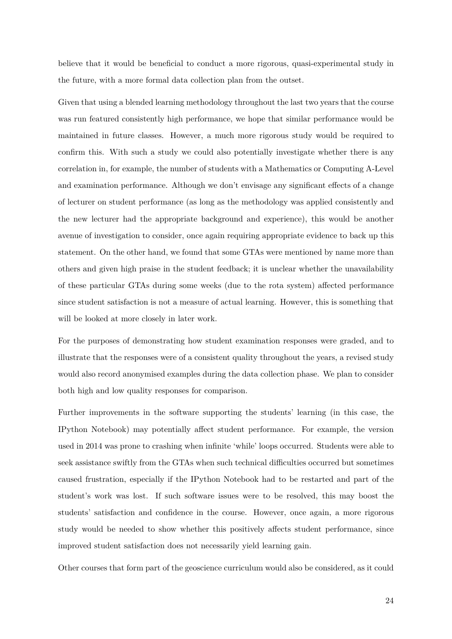believe that it would be beneficial to conduct a more rigorous, quasi-experimental study in the future, with a more formal data collection plan from the outset.

Given that using a blended learning methodology throughout the last two years that the course was run featured consistently high performance, we hope that similar performance would be maintained in future classes. However, a much more rigorous study would be required to confirm this. With such a study we could also potentially investigate whether there is any correlation in, for example, the number of students with a Mathematics or Computing A-Level and examination performance. Although we don't envisage any significant effects of a change of lecturer on student performance (as long as the methodology was applied consistently and the new lecturer had the appropriate background and experience), this would be another avenue of investigation to consider, once again requiring appropriate evidence to back up this statement. On the other hand, we found that some GTAs were mentioned by name more than others and given high praise in the student feedback; it is unclear whether the unavailability of these particular GTAs during some weeks (due to the rota system) affected performance since student satisfaction is not a measure of actual learning. However, this is something that will be looked at more closely in later work.

For the purposes of demonstrating how student examination responses were graded, and to illustrate that the responses were of a consistent quality throughout the years, a revised study would also record anonymised examples during the data collection phase. We plan to consider both high and low quality responses for comparison.

Further improvements in the software supporting the students' learning (in this case, the IPython Notebook) may potentially affect student performance. For example, the version used in 2014 was prone to crashing when infinite 'while' loops occurred. Students were able to seek assistance swiftly from the GTAs when such technical difficulties occurred but sometimes caused frustration, especially if the IPython Notebook had to be restarted and part of the student's work was lost. If such software issues were to be resolved, this may boost the students' satisfaction and confidence in the course. However, once again, a more rigorous study would be needed to show whether this positively affects student performance, since improved student satisfaction does not necessarily yield learning gain.

Other courses that form part of the geoscience curriculum would also be considered, as it could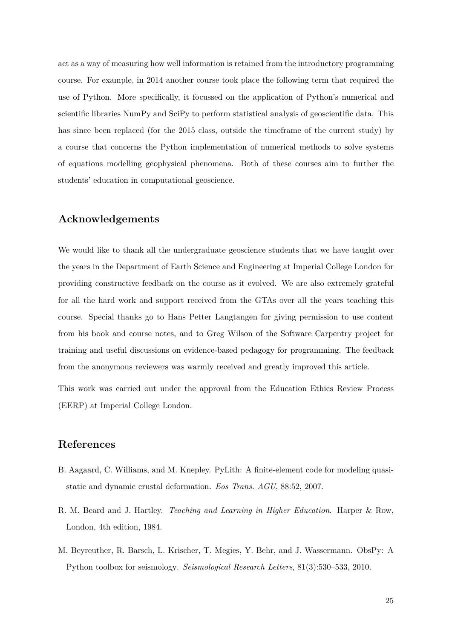act as a way of measuring how well information is retained from the introductory programming course. For example, in 2014 another course took place the following term that required the use of Python. More specifically, it focussed on the application of Python's numerical and scientific libraries NumPy and SciPy to perform statistical analysis of geoscientific data. This has since been replaced (for the 2015 class, outside the timeframe of the current study) by a course that concerns the Python implementation of numerical methods to solve systems of equations modelling geophysical phenomena. Both of these courses aim to further the students' education in computational geoscience.

# **Acknowledgements**

We would like to thank all the undergraduate geoscience students that we have taught over the years in the Department of Earth Science and Engineering at Imperial College London for providing constructive feedback on the course as it evolved. We are also extremely grateful for all the hard work and support received from the GTAs over all the years teaching this course. Special thanks go to Hans Petter Langtangen for giving permission to use content from his book and course notes, and to Greg Wilson of the Software Carpentry project for training and useful discussions on evidence-based pedagogy for programming. The feedback from the anonymous reviewers was warmly received and greatly improved this article.

This work was carried out under the approval from the Education Ethics Review Process (EERP) at Imperial College London.

# **References**

- <span id="page-24-0"></span>B. Aagaard, C. Williams, and M. Knepley. PyLith: A finite-element code for modeling quasistatic and dynamic crustal deformation. *Eos Trans. AGU*, 88:52, 2007.
- <span id="page-24-2"></span>R. M. Beard and J. Hartley. *Teaching and Learning in Higher Education*. Harper & Row, London, 4th edition, 1984.
- <span id="page-24-1"></span>M. Beyreuther, R. Barsch, L. Krischer, T. Megies, Y. Behr, and J. Wassermann. ObsPy: A Python toolbox for seismology. *Seismological Research Letters*, 81(3):530–533, 2010.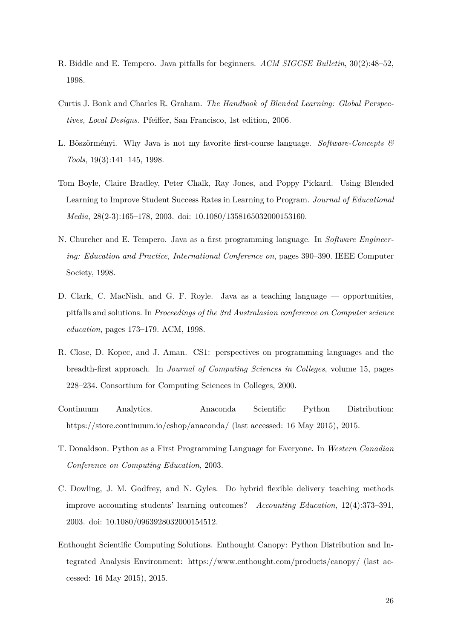- <span id="page-25-1"></span>R. Biddle and E. Tempero. Java pitfalls for beginners. *ACM SIGCSE Bulletin*, 30(2):48–52, 1998.
- <span id="page-25-6"></span>Curtis J. Bonk and Charles R. Graham. *The Handbook of Blended Learning: Global Perspectives, Local Designs*. Pfeiffer, San Francisco, 1st edition, 2006.
- <span id="page-25-5"></span>L. Böszörményi. Why Java is not my favorite first-course language. *Software-Concepts & Tools*, 19(3):141–145, 1998.
- <span id="page-25-7"></span>Tom Boyle, Claire Bradley, Peter Chalk, Ray Jones, and Poppy Pickard. Using Blended Learning to Improve Student Success Rates in Learning to Program. *Journal of Educational Media*, 28(2-3):165–178, 2003. doi: 10.1080/1358165032000153160.
- <span id="page-25-0"></span>N. Churcher and E. Tempero. Java as a first programming language. In *Software Engineering: Education and Practice, International Conference on*, pages 390–390. IEEE Computer Society, 1998.
- <span id="page-25-2"></span>D. Clark, C. MacNish, and G. F. Royle. Java as a teaching language — opportunities, pitfalls and solutions. In *Proceedings of the 3rd Australasian conference on Computer science education*, pages 173–179. ACM, 1998.
- <span id="page-25-3"></span>R. Close, D. Kopec, and J. Aman. CS1: perspectives on programming languages and the breadth-first approach. In *Journal of Computing Sciences in Colleges*, volume 15, pages 228–234. Consortium for Computing Sciences in Colleges, 2000.
- <span id="page-25-9"></span>Continuum Analytics. Anaconda Scientific Python Distribution: https://store.continuum.io/cshop/anaconda/ (last accessed: 16 May 2015), 2015.
- <span id="page-25-4"></span>T. Donaldson. Python as a First Programming Language for Everyone. In *Western Canadian Conference on Computing Education*, 2003.
- <span id="page-25-8"></span>C. Dowling, J. M. Godfrey, and N. Gyles. Do hybrid flexible delivery teaching methods improve accounting students' learning outcomes? *Accounting Education*, 12(4):373–391, 2003. doi: 10.1080/0963928032000154512.
- <span id="page-25-10"></span>Enthought Scientific Computing Solutions. Enthought Canopy: Python Distribution and Integrated Analysis Environment: https://www.enthought.com/products/canopy/ (last accessed: 16 May 2015), 2015.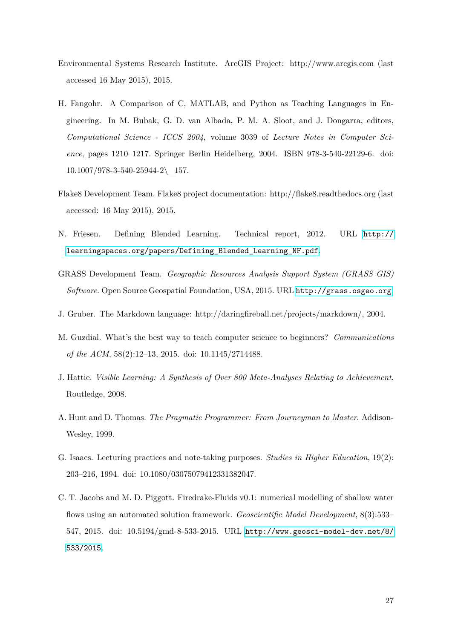- <span id="page-26-2"></span>Environmental Systems Research Institute. ArcGIS Project: http://www.arcgis.com (last accessed 16 May 2015), 2015.
- <span id="page-26-0"></span>H. Fangohr. A Comparison of C, MATLAB, and Python as Teaching Languages in Engineering. In M. Bubak, G. D. van Albada, P. M. A. Sloot, and J. Dongarra, editors, *Computational Science - ICCS 2004*, volume 3039 of *Lecture Notes in Computer Science*, pages 1210–1217. Springer Berlin Heidelberg, 2004. ISBN 978-3-540-22129-6. doi:  $10.1007/978 - 3 - 540 - 25944 - 2 \quad 157.$
- <span id="page-26-10"></span>Flake8 Development Team. Flake8 project documentation: http://flake8.readthedocs.org (last accessed: 16 May 2015), 2015.
- <span id="page-26-5"></span>N. Friesen. Defining Blended Learning. Technical report, 2012. URL [http://](http://learningspaces.org/papers/Defining_Blended_Learning_NF.pdf) [learningspaces.org/papers/Defining\\_Blended\\_Learning\\_NF.pdf](http://learningspaces.org/papers/Defining_Blended_Learning_NF.pdf).
- <span id="page-26-1"></span>GRASS Development Team. *Geographic Resources Analysis Support System (GRASS GIS) Software*. Open Source Geospatial Foundation, USA, 2015. URL <http://grass.osgeo.org>.
- <span id="page-26-4"></span>J. Gruber. The Markdown language: http://daringfireball.net/projects/markdown/, 2004.
- <span id="page-26-6"></span>M. Guzdial. What's the best way to teach computer science to beginners? *Communications of the ACM*, 58(2):12–13, 2015. doi: 10.1145/2714488.
- <span id="page-26-8"></span>J. Hattie. *Visible Learning: A Synthesis of Over 800 Meta-Analyses Relating to Achievement*. Routledge, 2008.
- <span id="page-26-9"></span>A. Hunt and D. Thomas. *The Pragmatic Programmer: From Journeyman to Master*. Addison-Wesley, 1999.
- <span id="page-26-7"></span>G. Isaacs. Lecturing practices and note-taking purposes. *Studies in Higher Education*, 19(2): 203–216, 1994. doi: 10.1080/03075079412331382047.
- <span id="page-26-3"></span>C. T. Jacobs and M. D. Piggott. Firedrake-Fluids v0.1: numerical modelling of shallow water flows using an automated solution framework. *Geoscientific Model Development*, 8(3):533– 547, 2015. doi: 10.5194/gmd-8-533-2015. URL [http://www.geosci-model-dev.net/8/](http://www.geosci-model-dev.net/8/533/2015) [533/2015](http://www.geosci-model-dev.net/8/533/2015).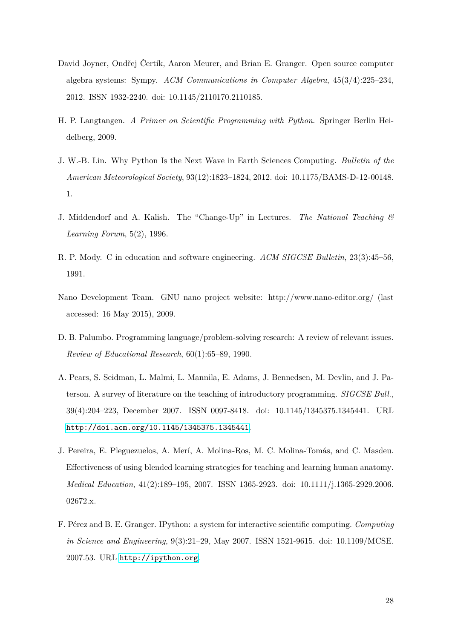- <span id="page-27-9"></span>David Joyner, Ondřej Čertík, Aaron Meurer, and Brian E. Granger. Open source computer algebra systems: Sympy. *ACM Communications in Computer Algebra*, 45(3/4):225–234, 2012. ISSN 1932-2240. doi: 10.1145/2110170.2110185.
- <span id="page-27-4"></span>H. P. Langtangen. *A Primer on Scientific Programming with Python*. Springer Berlin Heidelberg, 2009.
- <span id="page-27-3"></span>J. W.-B. Lin. Why Python Is the Next Wave in Earth Sciences Computing. *Bulletin of the American Meteorological Society*, 93(12):1823–1824, 2012. doi: 10.1175/BAMS-D-12-00148. 1.
- <span id="page-27-6"></span>J. Middendorf and A. Kalish. The "Change-Up" in Lectures. *The National Teaching & Learning Forum*, 5(2), 1996.
- <span id="page-27-2"></span>R. P. Mody. C in education and software engineering. *ACM SIGCSE Bulletin*, 23(3):45–56, 1991.
- <span id="page-27-8"></span>Nano Development Team. GNU nano project website: http://www.nano-editor.org/ (last accessed: 16 May 2015), 2009.
- <span id="page-27-1"></span>D. B. Palumbo. Programming language/problem-solving research: A review of relevant issues. *Review of Educational Research*, 60(1):65–89, 1990.
- <span id="page-27-0"></span>A. Pears, S. Seidman, L. Malmi, L. Mannila, E. Adams, J. Bennedsen, M. Devlin, and J. Paterson. A survey of literature on the teaching of introductory programming. *SIGCSE Bull.*, 39(4):204–223, December 2007. ISSN 0097-8418. doi: 10.1145/1345375.1345441. URL <http://doi.acm.org/10.1145/1345375.1345441>.
- <span id="page-27-7"></span>J. Pereira, E. Pleguezuelos, A. Merí, A. Molina-Ros, M. C. Molina-Tomás, and C. Masdeu. Effectiveness of using blended learning strategies for teaching and learning human anatomy. *Medical Education*, 41(2):189–195, 2007. ISSN 1365-2923. doi: 10.1111/j.1365-2929.2006. 02672.x.
- <span id="page-27-5"></span>F. Pérez and B. E. Granger. IPython: a system for interactive scientific computing. *Computing in Science and Engineering*, 9(3):21–29, May 2007. ISSN 1521-9615. doi: 10.1109/MCSE. 2007.53. URL <http://ipython.org>.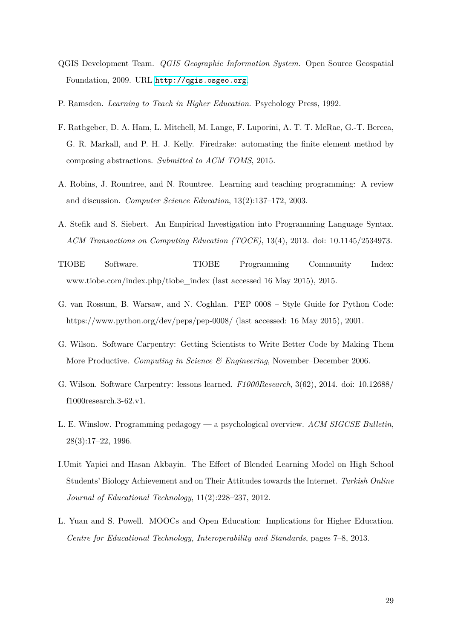- <span id="page-28-4"></span>QGIS Development Team. *QGIS Geographic Information System*. Open Source Geospatial Foundation, 2009. URL <http://qgis.osgeo.org>.
- <span id="page-28-9"></span>P. Ramsden. *Learning to Teach in Higher Education*. Psychology Press, 1992.
- <span id="page-28-5"></span>F. Rathgeber, D. A. Ham, L. Mitchell, M. Lange, F. Luporini, A. T. T. McRae, G.-T. Bercea, G. R. Markall, and P. H. J. Kelly. Firedrake: automating the finite element method by composing abstractions. *Submitted to ACM TOMS*, 2015.
- <span id="page-28-0"></span>A. Robins, J. Rountree, and N. Rountree. Learning and teaching programming: A review and discussion. *Computer Science Education*, 13(2):137–172, 2003.
- <span id="page-28-3"></span>A. Stefik and S. Siebert. An Empirical Investigation into Programming Language Syntax. *ACM Transactions on Computing Education (TOCE)*, 13(4), 2013. doi: 10.1145/2534973.
- <span id="page-28-2"></span>TIOBE Software. TIOBE Programming Community Index: www.tiobe.com/index.php/tiobe\_index (last accessed 16 May 2015), 2015.
- <span id="page-28-11"></span>G. van Rossum, B. Warsaw, and N. Coghlan. PEP 0008 – Style Guide for Python Code: https://www.python.org/dev/peps/pep-0008/ (last accessed: 16 May 2015), 2001.
- <span id="page-28-6"></span>G. Wilson. Software Carpentry: Getting Scientists to Write Better Code by Making Them More Productive. *Computing in Science & Engineering*, November–December 2006.
- <span id="page-28-7"></span>G. Wilson. Software Carpentry: lessons learned. *F1000Research*, 3(62), 2014. doi: 10.12688/ f1000research.3-62.v1.
- <span id="page-28-1"></span>L. E. Winslow. Programming pedagogy — a psychological overview. *ACM SIGCSE Bulletin*, 28(3):17–22, 1996.
- <span id="page-28-8"></span>I.Umit Yapici and Hasan Akbayin. The Effect of Blended Learning Model on High School Students' Biology Achievement and on Their Attitudes towards the Internet. *Turkish Online Journal of Educational Technology*, 11(2):228–237, 2012.
- <span id="page-28-10"></span>L. Yuan and S. Powell. MOOCs and Open Education: Implications for Higher Education. *Centre for Educational Technology, Interoperability and Standards*, pages 7–8, 2013.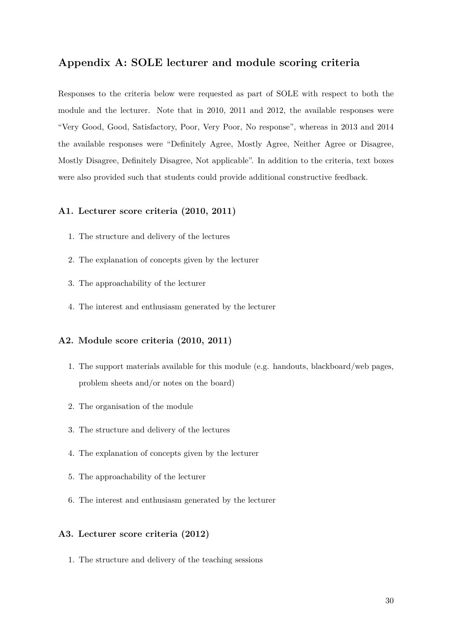# **Appendix A: SOLE lecturer and module scoring criteria**

Responses to the criteria below were requested as part of SOLE with respect to both the module and the lecturer. Note that in 2010, 2011 and 2012, the available responses were "Very Good, Good, Satisfactory, Poor, Very Poor, No response", whereas in 2013 and 2014 the available responses were "Definitely Agree, Mostly Agree, Neither Agree or Disagree, Mostly Disagree, Definitely Disagree, Not applicable". In addition to the criteria, text boxes were also provided such that students could provide additional constructive feedback.

## **A1. Lecturer score criteria (2010, 2011)**

- 1. The structure and delivery of the lectures
- 2. The explanation of concepts given by the lecturer
- 3. The approachability of the lecturer
- 4. The interest and enthusiasm generated by the lecturer

## **A2. Module score criteria (2010, 2011)**

- 1. The support materials available for this module (e.g. handouts, blackboard/web pages, problem sheets and/or notes on the board)
- 2. The organisation of the module
- 3. The structure and delivery of the lectures
- 4. The explanation of concepts given by the lecturer
- 5. The approachability of the lecturer
- 6. The interest and enthusiasm generated by the lecturer

#### **A3. Lecturer score criteria (2012)**

1. The structure and delivery of the teaching sessions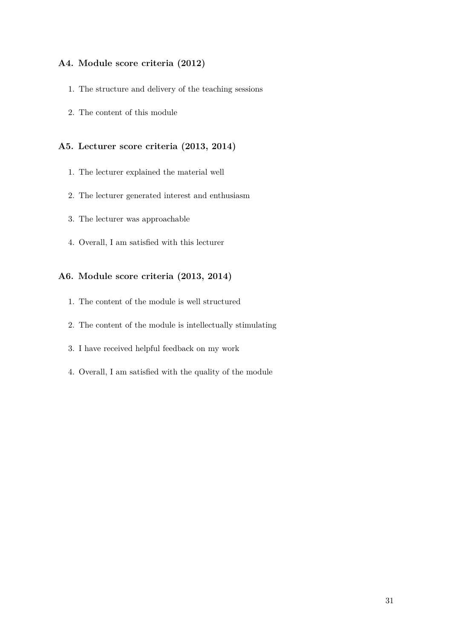## **A4. Module score criteria (2012)**

- 1. The structure and delivery of the teaching sessions
- 2. The content of this module

## **A5. Lecturer score criteria (2013, 2014)**

- 1. The lecturer explained the material well
- 2. The lecturer generated interest and enthusiasm
- 3. The lecturer was approachable
- 4. Overall, I am satisfied with this lecturer

## **A6. Module score criteria (2013, 2014)**

- 1. The content of the module is well structured
- 2. The content of the module is intellectually stimulating
- 3. I have received helpful feedback on my work
- 4. Overall, I am satisfied with the quality of the module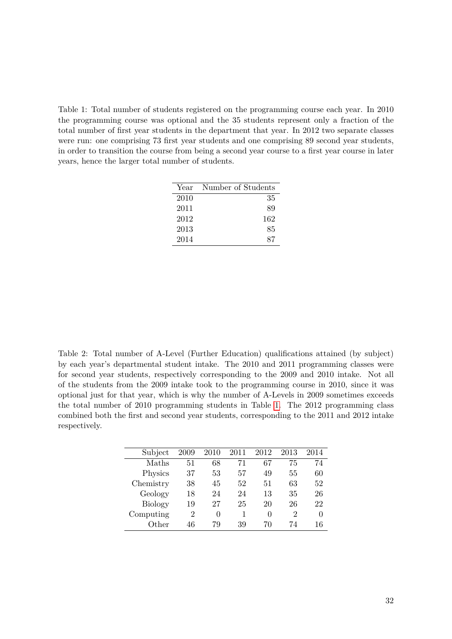<span id="page-31-0"></span>Table 1: Total number of students registered on the programming course each year. In 2010 the programming course was optional and the 35 students represent only a fraction of the total number of first year students in the department that year. In 2012 two separate classes were run: one comprising 73 first year students and one comprising 89 second year students, in order to transition the course from being a second year course to a first year course in later years, hence the larger total number of students.

| Year | Number of Students |
|------|--------------------|
| 2010 | 35                 |
| 2011 | 89                 |
| 2012 | 162                |
| 2013 | 85                 |
| 2014 | 87                 |

<span id="page-31-1"></span>Table 2: Total number of A-Level (Further Education) qualifications attained (by subject) by each year's departmental student intake. The 2010 and 2011 programming classes were for second year students, respectively corresponding to the 2009 and 2010 intake. Not all of the students from the 2009 intake took to the programming course in 2010, since it was optional just for that year, which is why the number of A-Levels in 2009 sometimes exceeds the total number of 2010 programming students in Table [1.](#page-31-0) The 2012 programming class combined both the first and second year students, corresponding to the 2011 and 2012 intake respectively.

| Subject        | 2009           | 2010         | 2011 | 2012 | 2013           | 2014 |
|----------------|----------------|--------------|------|------|----------------|------|
| Maths          | 51             | 68           | 71   | 67   | 75             | 74   |
| Physics        | 37             | 53           | 57   | 49   | 55             | 60   |
| Chemistry      | 38             | 45           | 52   | 51   | 63             | 52   |
| Geology        | 18             | 24           | 24   | 13   | 35             | 26   |
| <b>Biology</b> | 19             | 27           | 25   | 20   | 26             | 22   |
| Computing      | $\overline{2}$ | $\mathbf{0}$ | 1    | 0    | $\mathfrak{D}$ | 0    |
| Other          | 46             | 79           | 39   | 70   | 74             | 16   |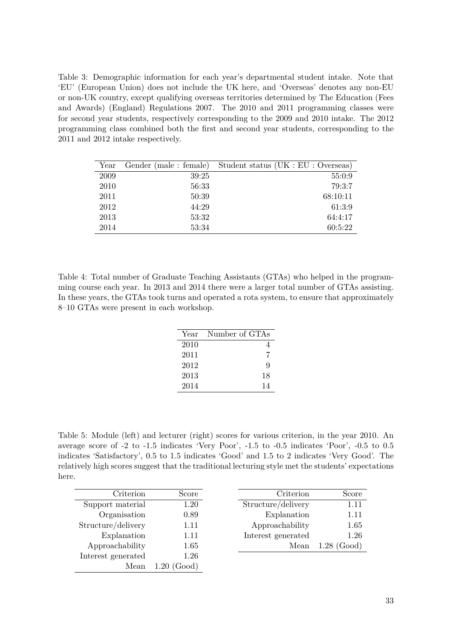<span id="page-32-0"></span>Table 3: Demographic information for each year's departmental student intake. Note that 'EU' (European Union) does not include the UK here, and 'Overseas' denotes any non-EU or non-UK country, except qualifying overseas territories determined by The Education (Fees and Awards) (England) Regulations 2007. The 2010 and 2011 programming classes were for second year students, respectively corresponding to the 2009 and 2010 intake. The 2012 programming class combined both the first and second year students, corresponding to the 2011 and 2012 intake respectively.

| Year | Gender (male : female) | Student status (UK : EU : Overseas) |
|------|------------------------|-------------------------------------|
| 2009 | 39:25                  | 55:0:9                              |
| 2010 | 56:33                  | 79:3:7                              |
| 2011 | 50:39                  | 68:10:11                            |
| 2012 | 44:29                  | 61:3:9                              |
| 2013 | 53:32                  | 64:4:17                             |
| 2014 | 53:34                  | 60:5:22                             |

<span id="page-32-2"></span>Table 4: Total number of Graduate Teaching Assistants (GTAs) who helped in the programming course each year. In 2013 and 2014 there were a larger total number of GTAs assisting. In these years, the GTAs took turns and operated a rota system, to ensure that approximately 8–10 GTAs were present in each workshop.

| Year | Number of GTAs |
|------|----------------|
| 2010 |                |
| 2011 | 7              |
| 2012 | q              |
| 2013 | 18             |
| 2014 | 14             |

<span id="page-32-1"></span>Table 5: Module (left) and lecturer (right) scores for various criterion, in the year 2010. An average score of -2 to -1.5 indicates 'Very Poor', -1.5 to -0.5 indicates 'Poor', -0.5 to 0.5 indicates 'Satisfactory', 0.5 to 1.5 indicates 'Good' and 1.5 to 2 indicates 'Very Good'. The relatively high scores suggest that the traditional lecturing style met the students' expectations here.

| Criterion          | Score         | Criterion          | Score         |
|--------------------|---------------|--------------------|---------------|
| Support material   | 1.20          | Structure/delivery | 1.11          |
| Organisation       | 0.89          | Explanation        | 1.11          |
| Structure/delivery | 1.11          | Approachability    | 1.65          |
| Explanation        | 1.11          | Interest generated | 1.26          |
| Approachability    | 1.65          | Mean               | $1.28$ (Good) |
| Interest generated | 1.26          |                    |               |
| Mean               | $1.20$ (Good) |                    |               |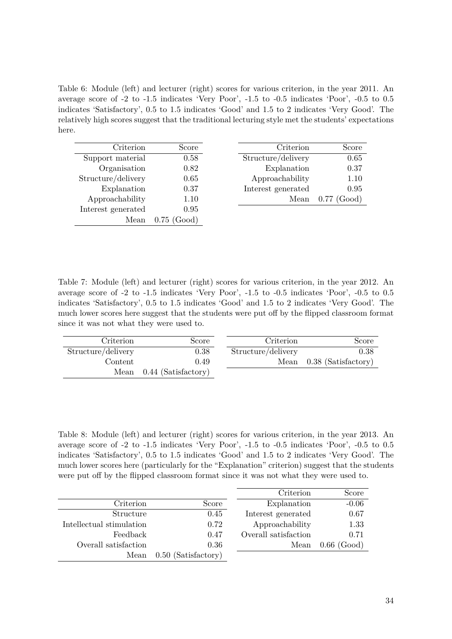<span id="page-33-0"></span>Table 6: Module (left) and lecturer (right) scores for various criterion, in the year 2011. An average score of -2 to -1.5 indicates 'Very Poor', -1.5 to -0.5 indicates 'Poor', -0.5 to 0.5 indicates 'Satisfactory', 0.5 to 1.5 indicates 'Good' and 1.5 to 2 indicates 'Very Good'. The relatively high scores suggest that the traditional lecturing style met the students' expectations here.

| Criterion          | Score         | Criterion          | Score          |
|--------------------|---------------|--------------------|----------------|
| Support material   | 0.58          | Structure/delivery | 0.65           |
| Organisation       | 0.82          | Explanation        | 0.37           |
| Structure/delivery | 0.65          | Approachability    | 1.10           |
| Explanation        | 0.37          | Interest generated | 0.95           |
| Approachability    | 1.10          | Mean               | 0.77<br>(Good) |
| Interest generated | 0.95          |                    |                |
| Mean               | $0.75$ (Good) |                    |                |

<span id="page-33-1"></span>Table 7: Module (left) and lecturer (right) scores for various criterion, in the year 2012. An average score of -2 to -1.5 indicates 'Very Poor', -1.5 to -0.5 indicates 'Poor', -0.5 to 0.5 indicates 'Satisfactory', 0.5 to 1.5 indicates 'Good' and 1.5 to 2 indicates 'Very Good'. The much lower scores here suggest that the students were put off by the flipped classroom format since it was not what they were used to.

| Criterion          | Score                      | Criterion          | Score                      |
|--------------------|----------------------------|--------------------|----------------------------|
| Structure/delivery | 0.38                       | Structure/delivery | 0.38                       |
| Content            | 0.49                       |                    | Mean $0.38$ (Satisfactory) |
|                    | Mean $0.44$ (Satisfactory) |                    |                            |

<span id="page-33-2"></span>Table 8: Module (left) and lecturer (right) scores for various criterion, in the year 2013. An average score of -2 to -1.5 indicates 'Very Poor', -1.5 to -0.5 indicates 'Poor', -0.5 to 0.5 indicates 'Satisfactory', 0.5 to 1.5 indicates 'Good' and 1.5 to 2 indicates 'Very Good'. The much lower scores here (particularly for the "Explanation" criterion) suggest that the students were put off by the flipped classroom format since it was not what they were used to.

|                          |                       | Criterion            | Score         |
|--------------------------|-----------------------|----------------------|---------------|
| Criterion                | Score                 | Explanation          | $-0.06$       |
| Structure                | 0.45                  | Interest generated   | 0.67          |
| Intellectual stimulation | 0.72                  | Approachability      | 1.33          |
| Feedback                 | 0.47                  | Overall satisfaction | 0.71          |
| Overall satisfaction     | 0.36                  | Mean                 | $0.66$ (Good) |
| Mean                     | $0.50$ (Satisfactory) |                      |               |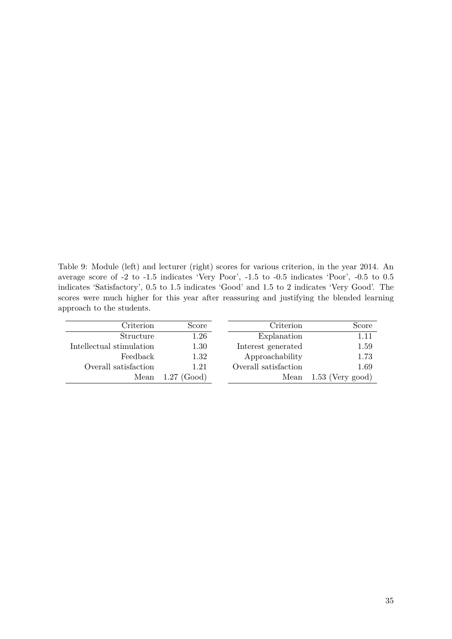<span id="page-34-0"></span>Table 9: Module (left) and lecturer (right) scores for various criterion, in the year 2014. An average score of -2 to -1.5 indicates 'Very Poor', -1.5 to -0.5 indicates 'Poor', -0.5 to 0.5 indicates 'Satisfactory', 0.5 to 1.5 indicates 'Good' and 1.5 to 2 indicates 'Very Good'. The scores were much higher for this year after reassuring and justifying the blended learning approach to the students.

| Criterion                | Score                      | Criterion            | Score              |
|--------------------------|----------------------------|----------------------|--------------------|
| Structure                | $1.26\,$                   | Explanation          | 1.11               |
| Intellectual stimulation | 1.30                       | Interest generated   | 1.59               |
| Feedback                 | 1.32                       | Approachability      | 1.73               |
| Overall satisfaction     | 1.21                       | Overall satisfaction | 1.69               |
|                          | Mean $1.27 \text{ (Good)}$ | Mean                 | $1.53$ (Very good) |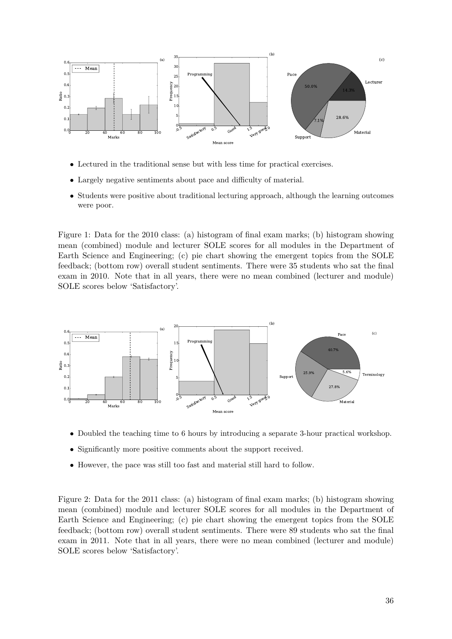

- Lectured in the traditional sense but with less time for practical exercises.
- Largely negative sentiments about pace and difficulty of material.
- Students were positive about traditional lecturing approach, although the learning outcomes were poor.

<span id="page-35-0"></span>mean (combined) module and lecturer SOLE scores for all modules in the Department of Figure 1: Data for the 2010 class: (a) histogram of final exam marks; (b) histogram showing Earth Science and Engineering; (c) pie chart showing the emergent topics from the SOLE feedback; (bottom row) overall student sentiments. There were 35 students who sat the final exam in 2010. Note that in all years, there were no mean combined (lecturer and module) SOLE scores below 'Satisfactory'.



- Doubled the teaching time to 6 hours by introducing a separate 3-hour practical workshop.
- Significantly more positive comments about the support received.
- However, the pace was still too fast and material still hard to follow.

<span id="page-35-1"></span>1 mean (combined) module and lecturer SOLE scores for all modules in the Department of Figure 2: Data for the 2011 class: (a) histogram of final exam marks; (b) histogram showing Earth Science and Engineering; (c) pie chart showing the emergent topics from the SOLE feedback; (bottom row) overall student sentiments. There were 89 students who sat the final exam in 2011. Note that in all years, there were no mean combined (lecturer and module) SOLE scores below 'Satisfactory'.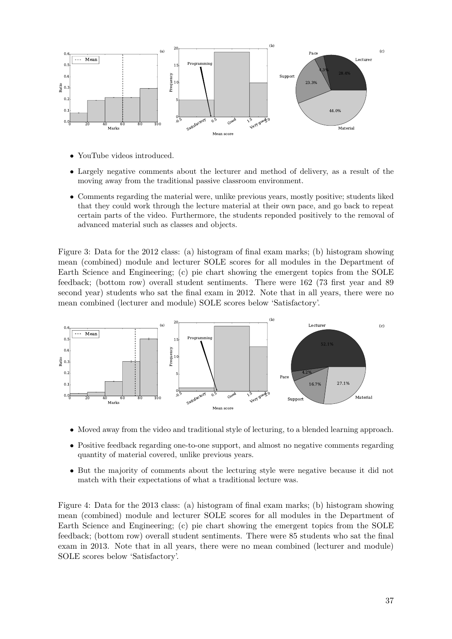

- YouTube videos introduced.
- Largely negative comments about the lecturer and method of delivery, as a result of the moving away from the traditional passive classroom environment.
- Comments regarding the material were, unlike previous years, mostly positive; students liked that they could work through the lecture material at their own pace, and go back to repeat certain parts of the video. Furthermore, the students reponded positively to the removal of advanced material such as classes and objects.

1 mean (combined) module and lecturer SOLE scores for all modules in the Department of Figure 3: Data for the 2012 class: (a) histogram of final exam marks; (b) histogram showing Earth Science and Engineering; (c) pie chart showing the emergent topics from the SOLE feedback; (bottom row) overall student sentiments. There were 162 (73 first year and 89 second year) students who sat the final exam in 2012. Note that in all years, there were no mean combined (lecturer and module) SOLE scores below 'Satisfactory'.



- Moved away from the video and traditional style of lecturing, to a blended learning approach.
- Positive feedback regarding one-to-one support, and almost no negative comments regarding quantity of material covered, unlike previous years.
- But the majority of comments about the lecturing style were negative because it did not match with their expectations of what a traditional lecture was.

<span id="page-36-0"></span>1 mean (combined) module and lecturer SOLE scores for all modules in the Department of Figure 4: Data for the 2013 class: (a) histogram of final exam marks; (b) histogram showing Earth Science and Engineering; (c) pie chart showing the emergent topics from the SOLE feedback; (bottom row) overall student sentiments. There were 85 students who sat the final exam in 2013. Note that in all years, there were no mean combined (lecturer and module) SOLE scores below 'Satisfactory'.